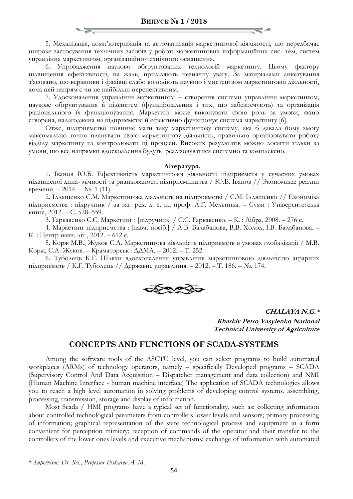5. Механізація, комп'ютеризація та автоматизація маркетингової діяльності, що передбачає широке застосування технічних засобів у роботі маркетингових інформаційних сис- тем, систем управління маркетингом, організаційно-технічного оснащення.

6. Упровадження науково обґрунтованих технологій маркетингу. Цьому фактору підвищення ефективності, на жаль, приділяють незначну увагу. За матеріалами анкетування з'ясовано, що керівники і фахівці слабо володіють наукою і мистецтвом маркетингової діяльності, хоча цей напрям є чи не найбільш перспективним.

7. Удосконалення управління маркетингом – створення системи управління маркетингом, наукове обґрунтування її підсистем (функціональних і тих, що забезпечують) та організація раціонального їх функціонування. Маркетинг може виконувати свою роль за умови, якщо створена, налагоджена на підприємстві й ефективно функціонує система маркетингу [6].

Отже, підприємство повинне мати таку маркетингову систему, яка б давала йому змогу максимально точно планувати свою маркетингову діяльність, правильно організовувати роботу відділу маркетингу та контролювати ці процеси. Високих результатів можно досягти тільки за умови, що все напрямки вдоскоалення будуть реалізовуватися системно та комплексно.

## **Література.**

1. Іванов Ю.Б. Ефективність маркетингової діяльності підприємств у сучасних умовах підвищеної дина- мічності та ризикованості підприємництва / Ю.Б. Іванов // Экономика: реалии времени. – 2014. –  $\mathbb{N}$ . 1 (11).

2. Ілляшенко С.М. Маркетингова діяльність на підприємстві / С.М. Ілляшенко // Економіка підприємства : підручник / за заг. ред. д. е. н., проф. Л.Г. Мельника. – Суми : Університетська книга, 2012. – С. 528–559.

3. Гаркавенко С.С. Маркетинг : [підручник] / С.С. Гаркавенко. – К. : Лібра, 2008. – 276 с.

4. Маркетинг підприємства : [навч. посіб.] / Л.В. Балабанова, В.В. Холод, І.В. Балабанова. – К. : Центр навч. літ., 2012. – 612 с.

5. Корж М.В., Жуков С.А. Маркетингова діяльність підприємств в умовах глобалізації / М.В. Корж, С.А. Жуков. – Краматорськ : ДДМА. – 2012. – Т. 252.

6. Туболець К.Г. Шляхи вдосконалення управління маркетинговою діяльністю аграрних підприємств / К.Г. Туболець // Державне управління. – 2012. – Т. 186. – №. 174.



**CHALAYA N.G.\***

**Kharkiv Petro Vasylenko National Technical University of Agriculture**

## **CONCEPTS AND FUNCTIONS OF SCADA-SYSTEMS**

Among the software tools of the ASCTU level, you can select programs to build automated workplaces (ARMs) of technology operators, namely – specifically Developed programs – SCADA (Supervisory Control And Data Acquisition – Dispatcher management and data collection) and NMI (Human Machine Interface - human machine interface) The application of SCADA technologies allows you to reach a high level automation in solving problems of developing control systems, assembling, processing, transmission, storage and display of information.

Most Scada / HMI programs have a typical set of functionality, such as: collecting information about controlled technological parameters from controllers lower levels and sensors; primary processing of information; graphical representation of the state technological process and equipment in a form convenient for perception mimicry; reception of commands of the operator and their transfer to the controllers of the lower ones levels and executive mechanisms; exchange of information with automated

 $\overline{a}$ 

*<sup>\*</sup> Supervisor: Dr. Sci., Professor Piskarev A. M.*